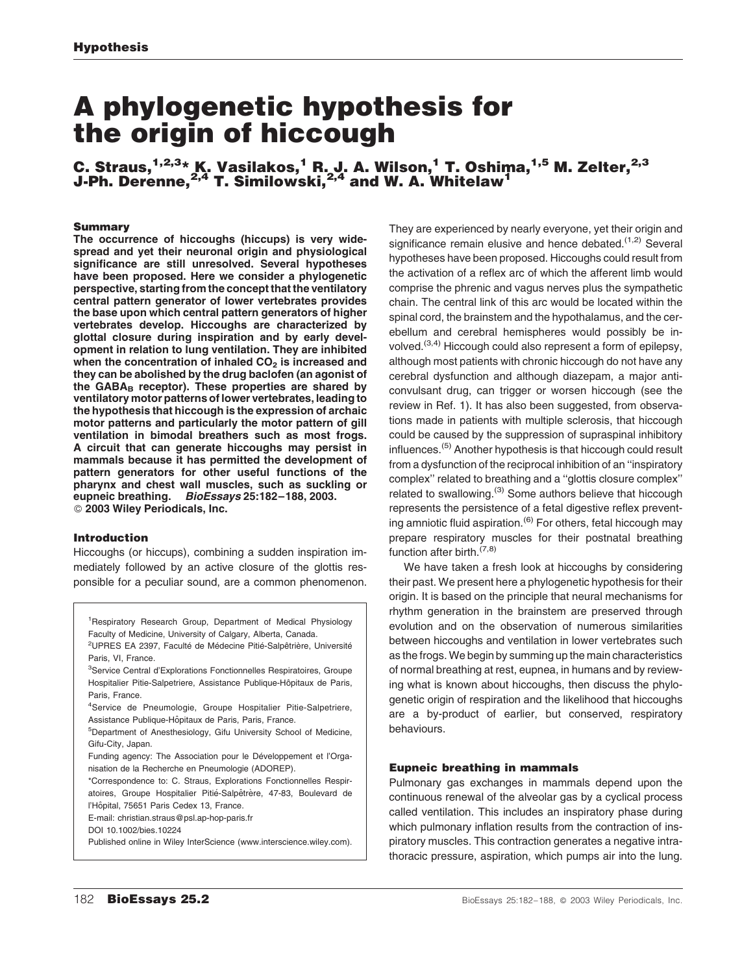# A phylogenetic hypothesis for the origin of hiccough

C. Straus, $^{1,2,3}$ \* K. Vasilakos, $^{1}$  R. J. A. Wilson, $^{1}$  T. Oshima, $^{1,5}$  M. Zelter, $^{2,3}$ J-Ph. Derenne,  $2,4$  T. Similowski,  $2,4$  and W. A. Whitelaw<sup>1</sup>

#### Summary

The occurrence of hiccoughs (hiccups) is very widespread and yet their neuronal origin and physiological significance are still unresolved. Several hypotheses have been proposed. Here we consider a phylogenetic perspective, starting from the concept that the ventilatory central pattern generator of lower vertebrates provides the base upon which central pattern generators of higher vertebrates develop. Hiccoughs are characterized by glottal closure during inspiration and by early development in relation to lung ventilation. They are inhibited when the concentration of inhaled  $CO<sub>2</sub>$  is increased and they can be abolished by the drug baclofen (an agonist of the  $GABA_B$  receptor). These properties are shared by ventilatory motor patterns of lower vertebrates, leading to the hypothesis that hiccough is the expression of archaic motor patterns and particularly the motor pattern of gill ventilation in bimodal breathers such as most frogs. A circuit that can generate hiccoughs may persist in mammals because it has permitted the development of pattern generators for other useful functions of the pharynx and chest wall muscles, such as suckling or eupneic breathing. BioEssays 25:182–188, 2003. 2003 Wiley Periodicals, Inc.

#### Introduction

Hiccoughs (or hiccups), combining a sudden inspiration immediately followed by an active closure of the glottis responsible for a peculiar sound, are a common phenomenon.

<sup>1</sup>Respiratory Research Group, Department of Medical Physiology Faculty of Medicine, University of Calgary, Alberta, Canada. <sup>2</sup>UPRES EA 2397, Faculté de Médecine Pitié-Salpêtrière, Université

- Paris, VI, France. <sup>3</sup>Service Central d'Explorations Fonctionnelles Respiratoires, Groupe Hospitalier Pitie-Salpetriere, Assistance Publique-Hôpitaux de Paris,
- Paris, France. <sup>4</sup>Service de Pneumologie, Groupe Hospitalier Pitie-Salpetriere, Assistance Publique-Hôpitaux de Paris, Paris, France.
- <sup>5</sup>Department of Anesthesiology, Gifu University School of Medicine, Gifu-City, Japan.
- Funding agency: The Association pour le Développement et l'Organisation de la Recherche en Pneumologie (ADOREP).
- \*Correspondence to: C. Straus, Explorations Fonctionnelles Respiratoires, Groupe Hospitalier Pitié-Salpêtrère, 47-83, Boulevard de l'Hôpital, 75651 Paris Cedex 13, France.
- E-mail: christian.straus@psl.ap-hop-paris.fr
- DOI 10.1002/bies.10224

Published online in Wiley InterScience (www.interscience.wiley.com).

They are experienced by nearly everyone, yet their origin and significance remain elusive and hence debated. $(1,2)$  Several hypotheses have been proposed. Hiccoughs could result from the activation of a reflex arc of which the afferent limb would comprise the phrenic and vagus nerves plus the sympathetic chain. The central link of this arc would be located within the spinal cord, the brainstem and the hypothalamus, and the cerebellum and cerebral hemispheres would possibly be involved. $(3,4)$  Hiccough could also represent a form of epilepsy, although most patients with chronic hiccough do not have any cerebral dysfunction and although diazepam, a major anticonvulsant drug, can trigger or worsen hiccough (see the review in Ref. 1). It has also been suggested, from observations made in patients with multiple sclerosis, that hiccough could be caused by the suppression of supraspinal inhibitory influences.(5) Another hypothesis is that hiccough could result from a dysfunction of the reciprocal inhibition of an ''inspiratory complex'' related to breathing and a ''glottis closure complex'' related to swallowing.<sup>(3)</sup> Some authors believe that hiccough represents the persistence of a fetal digestive reflex preventing amniotic fluid aspiration. $(6)$  For others, fetal hiccough may prepare respiratory muscles for their postnatal breathing function after birth. $(7,8)$ 

We have taken a fresh look at hiccoughs by considering their past. We present here a phylogenetic hypothesis for their origin. It is based on the principle that neural mechanisms for rhythm generation in the brainstem are preserved through evolution and on the observation of numerous similarities between hiccoughs and ventilation in lower vertebrates such as the frogs. We begin by summing up the main characteristics of normal breathing at rest, eupnea, in humans and by reviewing what is known about hiccoughs, then discuss the phylogenetic origin of respiration and the likelihood that hiccoughs are a by-product of earlier, but conserved, respiratory behaviours.

# Eupneic breathing in mammals

Pulmonary gas exchanges in mammals depend upon the continuous renewal of the alveolar gas by a cyclical process called ventilation. This includes an inspiratory phase during which pulmonary inflation results from the contraction of inspiratory muscles. This contraction generates a negative intrathoracic pressure, aspiration, which pumps air into the lung.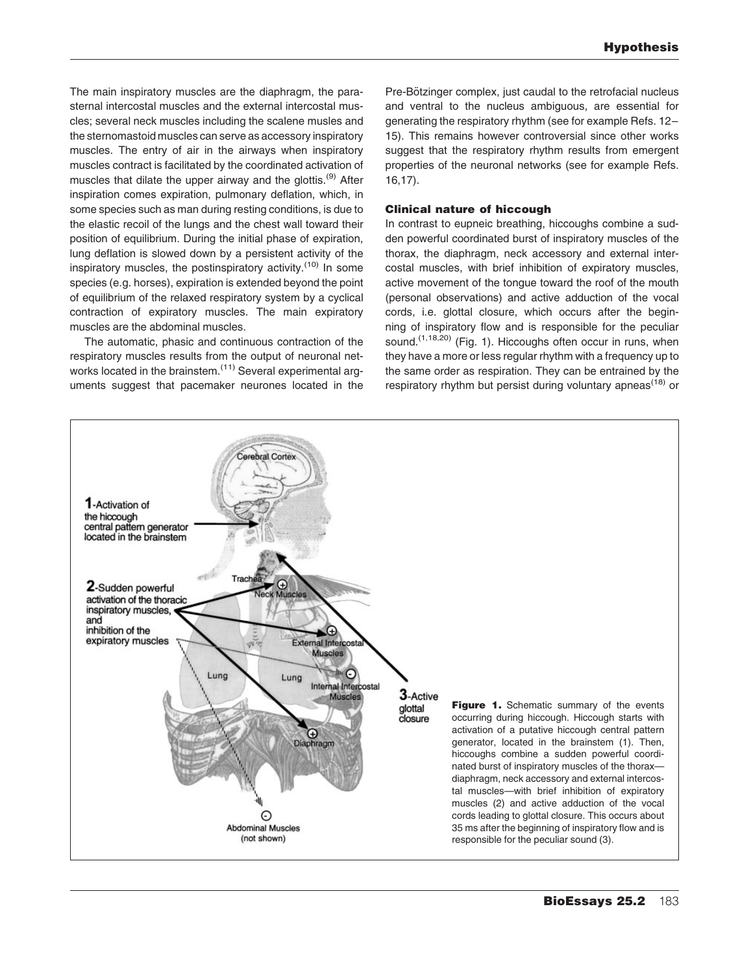The main inspiratory muscles are the diaphragm, the parasternal intercostal muscles and the external intercostal muscles; several neck muscles including the scalene musles and the sternomastoid muscles can serve as accessory inspiratory muscles. The entry of air in the airways when inspiratory muscles contract is facilitated by the coordinated activation of muscles that dilate the upper airway and the glottis.<sup>(9)</sup> After inspiration comes expiration, pulmonary deflation, which, in some species such as man during resting conditions, is due to the elastic recoil of the lungs and the chest wall toward their position of equilibrium. During the initial phase of expiration, lung deflation is slowed down by a persistent activity of the inspiratory muscles, the postinspiratory activity.<sup> $(10)$ </sup> In some species (e.g. horses), expiration is extended beyond the point of equilibrium of the relaxed respiratory system by a cyclical contraction of expiratory muscles. The main expiratory muscles are the abdominal muscles.

The automatic, phasic and continuous contraction of the respiratory muscles results from the output of neuronal networks located in the brainstem.<sup>(11)</sup> Several experimental arguments suggest that pacemaker neurones located in the Pre-Bötzinger complex, just caudal to the retrofacial nucleus and ventral to the nucleus ambiguous, are essential for generating the respiratory rhythm (see for example Refs. 12– 15). This remains however controversial since other works suggest that the respiratory rhythm results from emergent properties of the neuronal networks (see for example Refs. 16,17).

## Clinical nature of hiccough

In contrast to eupneic breathing, hiccoughs combine a sudden powerful coordinated burst of inspiratory muscles of the thorax, the diaphragm, neck accessory and external intercostal muscles, with brief inhibition of expiratory muscles, active movement of the tongue toward the roof of the mouth (personal observations) and active adduction of the vocal cords, i.e. glottal closure, which occurs after the beginning of inspiratory flow and is responsible for the peculiar sound.<sup>(1,18,20)</sup> (Fig. 1). Hiccoughs often occur in runs, when they have a more or less regular rhythm with a frequency up to the same order as respiration. They can be entrained by the respiratory rhythm but persist during voluntary apneas<sup> $(18)$ </sup> or

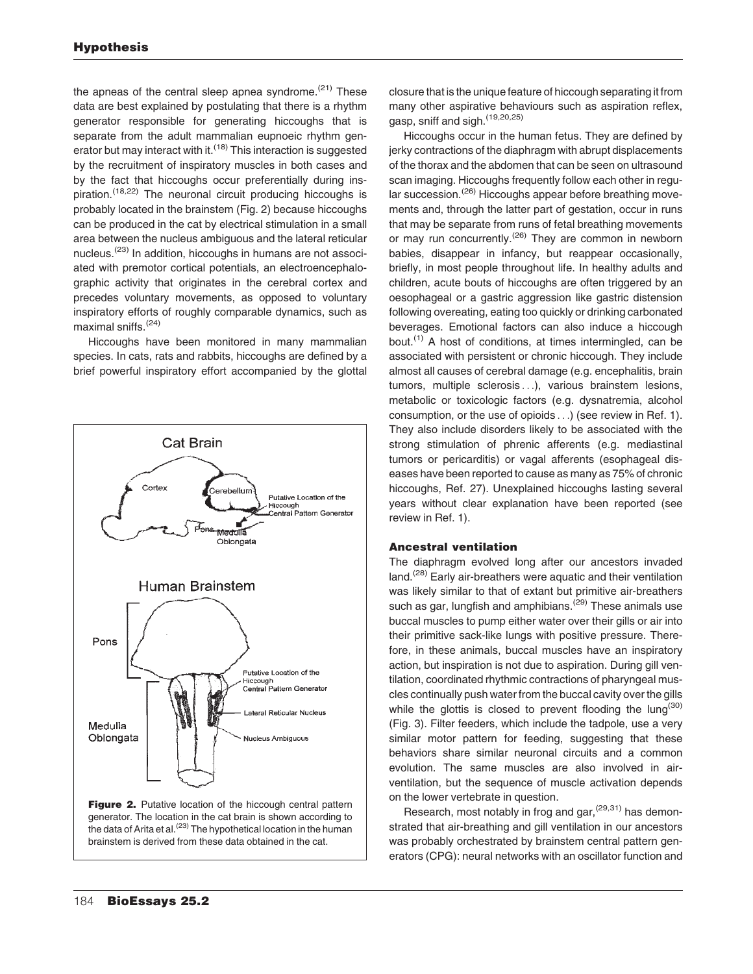the apneas of the central sleep apnea syndrome. $(21)$  These data are best explained by postulating that there is a rhythm generator responsible for generating hiccoughs that is separate from the adult mammalian eupnoeic rhythm generator but may interact with it.<sup> $(18)$ </sup> This interaction is suggested by the recruitment of inspiratory muscles in both cases and by the fact that hiccoughs occur preferentially during inspiration.<sup>(18,22)</sup> The neuronal circuit producing hiccoughs is probably located in the brainstem (Fig. 2) because hiccoughs can be produced in the cat by electrical stimulation in a small area between the nucleus ambiguous and the lateral reticular nucleus.<sup>(23)</sup> In addition, hiccoughs in humans are not associated with premotor cortical potentials, an electroencephalographic activity that originates in the cerebral cortex and precedes voluntary movements, as opposed to voluntary inspiratory efforts of roughly comparable dynamics, such as maximal sniffs.(24)

Hiccoughs have been monitored in many mammalian species. In cats, rats and rabbits, hiccoughs are defined by a brief powerful inspiratory effort accompanied by the glottal





closure that is the unique feature of hiccough separating it from many other aspirative behaviours such as aspiration reflex, gasp, sniff and sigh.(19,20,25)

Hiccoughs occur in the human fetus. They are defined by jerky contractions of the diaphragm with abrupt displacements of the thorax and the abdomen that can be seen on ultrasound scan imaging. Hiccoughs frequently follow each other in regular succession.<sup>(26)</sup> Hiccoughs appear before breathing movements and, through the latter part of gestation, occur in runs that may be separate from runs of fetal breathing movements or may run concurrently.<sup>(26)</sup> They are common in newborn babies, disappear in infancy, but reappear occasionally, briefly, in most people throughout life. In healthy adults and children, acute bouts of hiccoughs are often triggered by an oesophageal or a gastric aggression like gastric distension following overeating, eating too quickly or drinking carbonated beverages. Emotional factors can also induce a hiccough bout.<sup> $(1)$ </sup> A host of conditions, at times intermingled, can be associated with persistent or chronic hiccough. They include almost all causes of cerebral damage (e.g. encephalitis, brain tumors, multiple sclerosis ...), various brainstem lesions, metabolic or toxicologic factors (e.g. dysnatremia, alcohol consumption, or the use of opioids ...) (see review in Ref. 1). They also include disorders likely to be associated with the strong stimulation of phrenic afferents (e.g. mediastinal tumors or pericarditis) or vagal afferents (esophageal diseases have been reported to cause as many as 75% of chronic hiccoughs, Ref. 27). Unexplained hiccoughs lasting several years without clear explanation have been reported (see review in Ref. 1).

## Ancestral ventilation

The diaphragm evolved long after our ancestors invaded land.<sup>(28)</sup> Early air-breathers were aquatic and their ventilation was likely similar to that of extant but primitive air-breathers such as gar, lungfish and amphibians.<sup>(29)</sup> These animals use buccal muscles to pump either water over their gills or air into their primitive sack-like lungs with positive pressure. Therefore, in these animals, buccal muscles have an inspiratory action, but inspiration is not due to aspiration. During gill ventilation, coordinated rhythmic contractions of pharyngeal muscles continually push water from the buccal cavity over the gills while the glottis is closed to prevent flooding the lung<sup>(30)</sup> (Fig. 3). Filter feeders, which include the tadpole, use a very similar motor pattern for feeding, suggesting that these behaviors share similar neuronal circuits and a common evolution. The same muscles are also involved in airventilation, but the sequence of muscle activation depends on the lower vertebrate in question.

Research, most notably in frog and gar,  $(29,31)$  has demonstrated that air-breathing and gill ventilation in our ancestors was probably orchestrated by brainstem central pattern generators (CPG): neural networks with an oscillator function and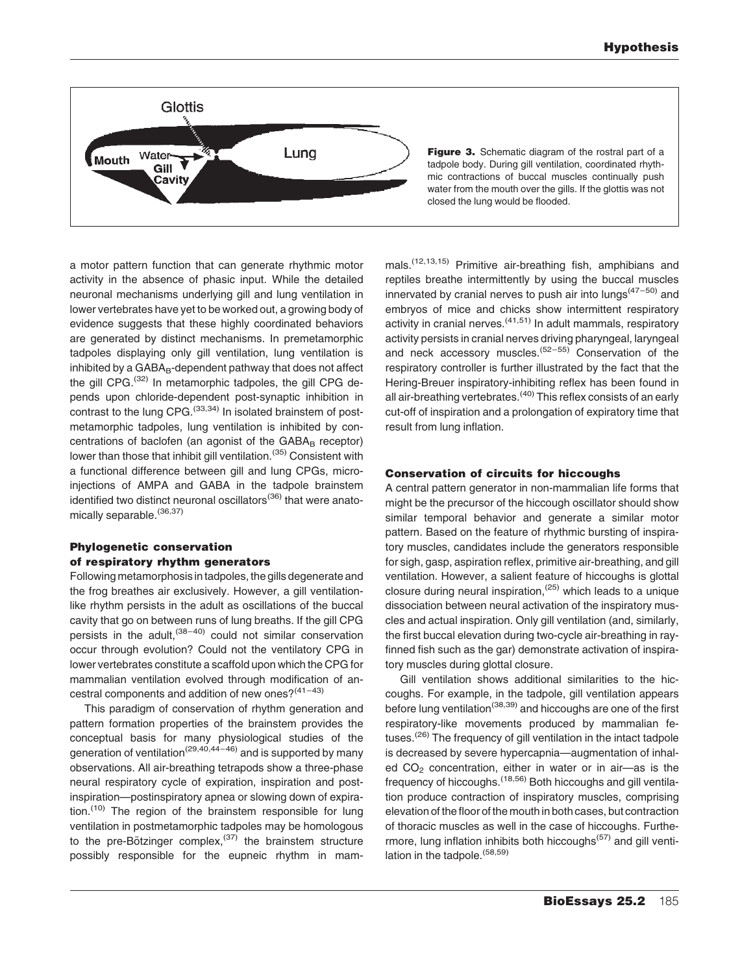

a motor pattern function that can generate rhythmic motor activity in the absence of phasic input. While the detailed neuronal mechanisms underlying gill and lung ventilation in lower vertebrates have yet to be worked out, a growing body of evidence suggests that these highly coordinated behaviors are generated by distinct mechanisms. In premetamorphic tadpoles displaying only gill ventilation, lung ventilation is inhibited by a GABA<sub>B</sub>-dependent pathway that does not affect the gill CPG. $^{(32)}$  In metamorphic tadpoles, the gill CPG depends upon chloride-dependent post-synaptic inhibition in contrast to the lung CPG. $^{(33,34)}$  In isolated brainstem of postmetamorphic tadpoles, lung ventilation is inhibited by concentrations of baclofen (an agonist of the GABAB receptor) lower than those that inhibit gill ventilation.<sup>(35)</sup> Consistent with a functional difference between gill and lung CPGs, microinjections of AMPA and GABA in the tadpole brainstem identified two distinct neuronal oscillators<sup>(36)</sup> that were anatomically separable.<sup>(36,37)</sup>

# Phylogenetic conservation of respiratory rhythm generators

Following metamorphosis in tadpoles, the gills degenerate and the frog breathes air exclusively. However, a gill ventilationlike rhythm persists in the adult as oscillations of the buccal cavity that go on between runs of lung breaths. If the gill CPG persists in the adult,  $(38-40)$  could not similar conservation occur through evolution? Could not the ventilatory CPG in lower vertebrates constitute a scaffold upon which the CPG for mammalian ventilation evolved through modification of ancestral components and addition of new ones? $(41-43)$ 

This paradigm of conservation of rhythm generation and pattern formation properties of the brainstem provides the conceptual basis for many physiological studies of the generation of ventilation<sup>(29,40,44–46)</sup> and is supported by many observations. All air-breathing tetrapods show a three-phase neural respiratory cycle of expiration, inspiration and postinspiration—postinspiratory apnea or slowing down of expiration.<sup> $(10)$ </sup> The region of the brainstem responsible for lung ventilation in postmetamorphic tadpoles may be homologous to the pre-Bötzinger complex. $(37)$  the brainstem structure possibly responsible for the eupneic rhythm in mammals.(12,13,15) Primitive air-breathing fish, amphibians and reptiles breathe intermittently by using the buccal muscles innervated by cranial nerves to push air into lungs $(47-50)$  and embryos of mice and chicks show intermittent respiratory activity in cranial nerves.  $(41,51)$  In adult mammals, respiratory activity persists in cranial nerves driving pharyngeal, laryngeal and neck accessory muscles.(52–55) Conservation of the respiratory controller is further illustrated by the fact that the Hering-Breuer inspiratory-inhibiting reflex has been found in all air-breathing vertebrates. $(40)$  This reflex consists of an early cut-off of inspiration and a prolongation of expiratory time that result from lung inflation.

## Conservation of circuits for hiccoughs

A central pattern generator in non-mammalian life forms that might be the precursor of the hiccough oscillator should show similar temporal behavior and generate a similar motor pattern. Based on the feature of rhythmic bursting of inspiratory muscles, candidates include the generators responsible for sigh, gasp, aspiration reflex, primitive air-breathing, and gill ventilation. However, a salient feature of hiccoughs is glottal closure during neural inspiration.<sup> $(25)$ </sup> which leads to a unique dissociation between neural activation of the inspiratory muscles and actual inspiration. Only gill ventilation (and, similarly, the first buccal elevation during two-cycle air-breathing in rayfinned fish such as the gar) demonstrate activation of inspiratory muscles during glottal closure.

Gill ventilation shows additional similarities to the hiccoughs. For example, in the tadpole, gill ventilation appears before lung ventilation(38,39) and hiccoughs are one of the first respiratory-like movements produced by mammalian fetuses.<sup>(26)</sup> The frequency of gill ventilation in the intact tadpole is decreased by severe hypercapnia—augmentation of inhaled  $CO<sub>2</sub>$  concentration, either in water or in air—as is the frequency of hiccoughs.(18,56) Both hiccoughs and gill ventilation produce contraction of inspiratory muscles, comprising elevation of the floor of the mouth in both cases, but contraction of thoracic muscles as well in the case of hiccoughs. Furthermore, lung inflation inhibits both hiccoughs<sup>(57)</sup> and gill ventilation in the tadpole. $(58,59)$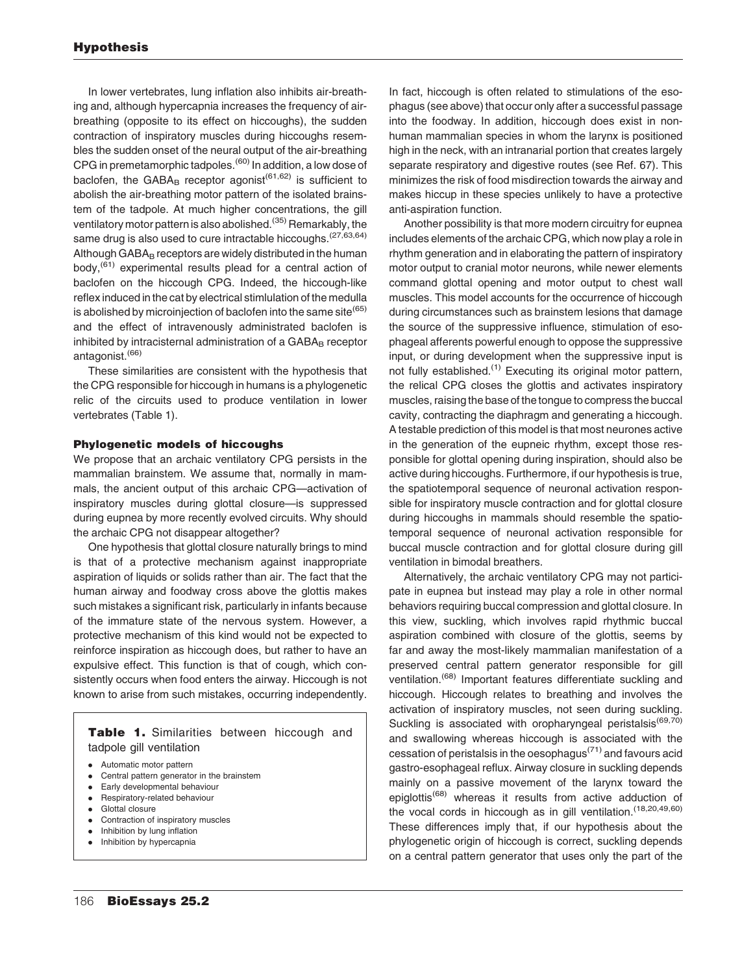In lower vertebrates, lung inflation also inhibits air-breathing and, although hypercapnia increases the frequency of airbreathing (opposite to its effect on hiccoughs), the sudden contraction of inspiratory muscles during hiccoughs resembles the sudden onset of the neural output of the air-breathing CPG in premetamorphic tadpoles.(60) In addition, a low dose of baclofen, the GABA<sub>B</sub> receptor agonist<sup>(61,62)</sup> is sufficient to abolish the air-breathing motor pattern of the isolated brainstem of the tadpole. At much higher concentrations, the gill ventilatory motor pattern is also abolished.<sup>(35)</sup> Remarkably, the same drug is also used to cure intractable hiccoughs.<sup>(27,63,64)</sup> Although  $GABA_B$  receptors are widely distributed in the human body,  $(61)$  experimental results plead for a central action of baclofen on the hiccough CPG. Indeed, the hiccough-like reflex induced in the cat by electrical stimlulation of the medulla is abolished by microinjection of baclofen into the same site $(65)$ and the effect of intravenously administrated baclofen is inhibited by intracisternal administration of a GABAB receptor antagonist.(66)

These similarities are consistent with the hypothesis that the CPG responsible for hiccough in humans is a phylogenetic relic of the circuits used to produce ventilation in lower vertebrates (Table 1).

### Phylogenetic models of hiccoughs

We propose that an archaic ventilatory CPG persists in the mammalian brainstem. We assume that, normally in mammals, the ancient output of this archaic CPG—activation of inspiratory muscles during glottal closure—is suppressed during eupnea by more recently evolved circuits. Why should the archaic CPG not disappear altogether?

One hypothesis that glottal closure naturally brings to mind is that of a protective mechanism against inappropriate aspiration of liquids or solids rather than air. The fact that the human airway and foodway cross above the glottis makes such mistakes a significant risk, particularly in infants because of the immature state of the nervous system. However, a protective mechanism of this kind would not be expected to reinforce inspiration as hiccough does, but rather to have an expulsive effect. This function is that of cough, which consistently occurs when food enters the airway. Hiccough is not known to arise from such mistakes, occurring independently.

Table 1. Similarities between hiccough and tadpole gill ventilation

- . Automatic motor pattern
- . Central pattern generator in the brainstem
- . Early developmental behaviour
- . Respiratory-related behaviour
- . Glottal closure
- . Contraction of inspiratory muscles
- . Inhibition by lung inflation
- . Inhibition by hypercapnia

In fact, hiccough is often related to stimulations of the esophagus (see above) that occur only after a successful passage into the foodway. In addition, hiccough does exist in nonhuman mammalian species in whom the larynx is positioned high in the neck, with an intranarial portion that creates largely separate respiratory and digestive routes (see Ref. 67). This minimizes the risk of food misdirection towards the airway and makes hiccup in these species unlikely to have a protective anti-aspiration function.

Another possibility is that more modern circuitry for eupnea includes elements of the archaic CPG, which now play a role in rhythm generation and in elaborating the pattern of inspiratory motor output to cranial motor neurons, while newer elements command glottal opening and motor output to chest wall muscles. This model accounts for the occurrence of hiccough during circumstances such as brainstem lesions that damage the source of the suppressive influence, stimulation of esophageal afferents powerful enough to oppose the suppressive input, or during development when the suppressive input is not fully established.<sup> $(1)$ </sup> Executing its original motor pattern, the relical CPG closes the glottis and activates inspiratory muscles, raising the base of the tongue to compress the buccal cavity, contracting the diaphragm and generating a hiccough. A testable prediction of this model is that most neurones active in the generation of the eupneic rhythm, except those responsible for glottal opening during inspiration, should also be active during hiccoughs. Furthermore, if our hypothesis is true, the spatiotemporal sequence of neuronal activation responsible for inspiratory muscle contraction and for glottal closure during hiccoughs in mammals should resemble the spatiotemporal sequence of neuronal activation responsible for buccal muscle contraction and for glottal closure during gill ventilation in bimodal breathers.

Alternatively, the archaic ventilatory CPG may not participate in eupnea but instead may play a role in other normal behaviors requiring buccal compression and glottal closure. In this view, suckling, which involves rapid rhythmic buccal aspiration combined with closure of the glottis, seems by far and away the most-likely mammalian manifestation of a preserved central pattern generator responsible for gill ventilation.(68) Important features differentiate suckling and hiccough. Hiccough relates to breathing and involves the activation of inspiratory muscles, not seen during suckling. Suckling is associated with oropharyngeal peristalsis<sup>(69,70)</sup> and swallowing whereas hiccough is associated with the cessation of peristalsis in the oesophagus $(71)$  and favours acid gastro-esophageal reflux. Airway closure in suckling depends mainly on a passive movement of the larynx toward the epiglottis<sup>(68)</sup> whereas it results from active adduction of the vocal cords in hiccough as in gill ventilation.<sup>(18,20,49,60)</sup> These differences imply that, if our hypothesis about the phylogenetic origin of hiccough is correct, suckling depends on a central pattern generator that uses only the part of the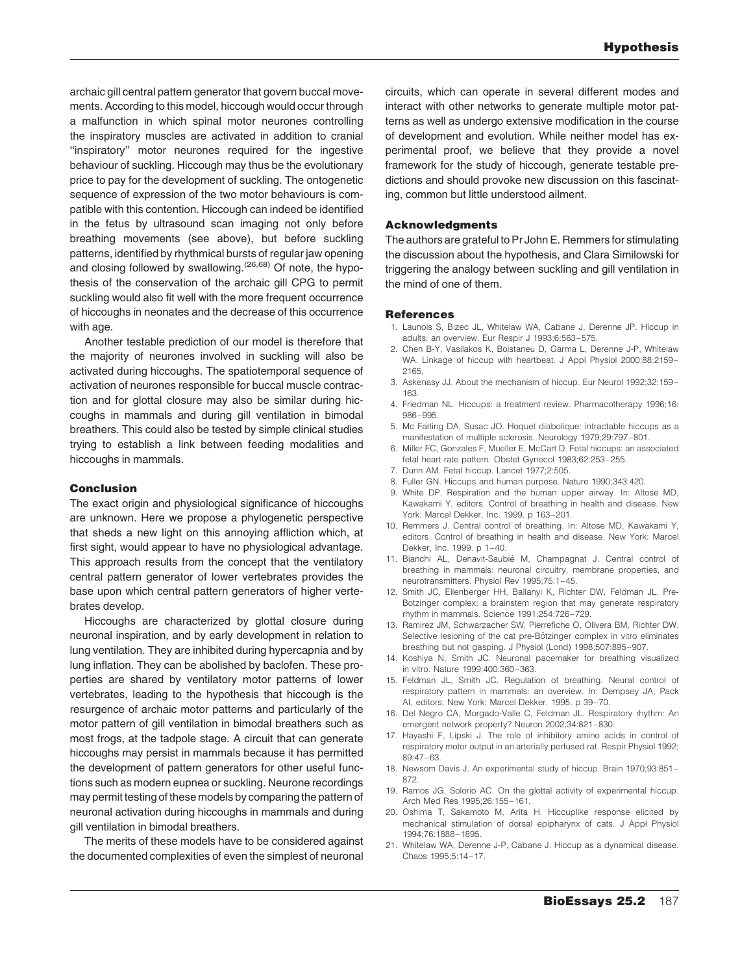archaic gill central pattern generator that govern buccal movements. According to this model, hiccough would occur through a malfunction in which spinal motor neurones controlling the inspiratory muscles are activated in addition to cranial ''inspiratory'' motor neurones required for the ingestive behaviour of suckling. Hiccough may thus be the evolutionary price to pay for the development of suckling. The ontogenetic sequence of expression of the two motor behaviours is compatible with this contention. Hiccough can indeed be identified in the fetus by ultrasound scan imaging not only before breathing movements (see above), but before suckling patterns, identified by rhythmical bursts of regular jaw opening and closing followed by swallowing.<sup> $(26,68)$ </sup> Of note, the hypothesis of the conservation of the archaic gill CPG to permit suckling would also fit well with the more frequent occurrence of hiccoughs in neonates and the decrease of this occurrence with age.

Another testable prediction of our model is therefore that the majority of neurones involved in suckling will also be activated during hiccoughs. The spatiotemporal sequence of activation of neurones responsible for buccal muscle contraction and for glottal closure may also be similar during hiccoughs in mammals and during gill ventilation in bimodal breathers. This could also be tested by simple clinical studies trying to establish a link between feeding modalities and hiccoughs in mammals.

#### Conclusion

The exact origin and physiological significance of hiccoughs are unknown. Here we propose a phylogenetic perspective that sheds a new light on this annoying affliction which, at first sight, would appear to have no physiological advantage. This approach results from the concept that the ventilatory central pattern generator of lower vertebrates provides the base upon which central pattern generators of higher vertebrates develop.

Hiccoughs are characterized by glottal closure during neuronal inspiration, and by early development in relation to lung ventilation. They are inhibited during hypercapnia and by lung inflation. They can be abolished by baclofen. These properties are shared by ventilatory motor patterns of lower vertebrates, leading to the hypothesis that hiccough is the resurgence of archaic motor patterns and particularly of the motor pattern of gill ventilation in bimodal breathers such as most frogs, at the tadpole stage. A circuit that can generate hiccoughs may persist in mammals because it has permitted the development of pattern generators for other useful functions such as modern eupnea or suckling. Neurone recordings may permit testing of these models by comparing the pattern of neuronal activation during hiccoughs in mammals and during gill ventilation in bimodal breathers.

The merits of these models have to be considered against the documented complexities of even the simplest of neuronal circuits, which can operate in several different modes and interact with other networks to generate multiple motor patterns as well as undergo extensive modification in the course of development and evolution. While neither model has experimental proof, we believe that they provide a novel framework for the study of hiccough, generate testable predictions and should provoke new discussion on this fascinating, common but little understood ailment.

## Acknowledgments

The authors are grateful to Pr John E. Remmers for stimulating the discussion about the hypothesis, and Clara Similowski for triggering the analogy between suckling and gill ventilation in the mind of one of them.

#### References

- 1. Launois S, Bizec JL, Whitelaw WA, Cabane J, Derenne JP. Hiccup in adults: an overview. Eur Respir J 1993;6:563–575.
- 2. Chen B-Y, Vasilakos K, Boistaneu D, Garma L, Derenne J-P, Whitelaw WA. Linkage of hiccup with heartbeat. J Appl Physiol 2000;88:2159– 2165.
- 3. Askenasy JJ. About the mechanism of hiccup. Eur Neurol 1992;32:159– 163.
- 4. Friedman NL. Hiccups: a treatment review. Pharmacotherapy 1996;16: 986–995.
- 5. Mc Farling DA, Susac JO. Hoquet diabolique: intractable hiccups as a manifestation of multiple sclerosis. Neurology 1979;29:797–801.
- 6. Miller FC, Gonzales F, Mueller E, McCart D. Fetal hiccups: an associated fetal heart rate pattern. Obstet Gynecol 1983;62:253–255.
- 7. Dunn AM. Fetal hiccup. Lancet 1977;2:505.
- 8. Fuller GN. Hiccups and human purpose. Nature 1990;343:420.
- 9. White DP. Respiration and the human upper airway. In: Altose MD, Kawakami Y, editors. Control of breathing in health and disease. New York: Marcel Dekker, Inc. 1999. p 163–201.
- 10. Remmers J. Central control of breathing. In: Altose MD, Kawakami Y, editors. Control of breathing in health and disease. New York: Marcel Dekker, Inc. 1999. p 1–40.
- 11. Bianchi AL, Denavit-Saubié M, Champagnat J. Central control of breathing in mammals: neuronal circuitry, membrane properties, and neurotransmitters. Physiol Rev 1995;75:1–45.
- 12. Smith JC, Ellenberger HH, Ballanyi K, Richter DW, Feldman JL. Pre-Botzinger complex: a brainstem region that may generate respiratory rhythm in mammals. Science 1991;254:726–729.
- 13. Ramirez JM, Schwarzacher SW, Pierrefiche O, Olivera BM, Richter DW. Selective lesioning of the cat pre-Bötzinger complex in vitro eliminates breathing but not gasping. J Physiol (Lond) 1998;507:895–907.
- 14. Koshiya N, Smith JC. Neuronal pacemaker for breathing visualized in vitro. Nature 1999;400:360–363.
- 15. Feldman JL, Smith JC. Regulation of breathing. Neural control of respiratory pattern in mammals: an overview. In: Dempsey JA, Pack AI, editors. New York: Marcel Dekker. 1995. p 39–70.
- 16. Del Negro CA, Morgado-Valle C, Feldman JL. Respiratory rhythm: An emergent network property? Neuron 2002;34:821–830.
- 17. Hayashi F, Lipski J. The role of inhibitory amino acids in control of respiratory motor output in an arterially perfused rat. Respir Physiol 1992; 89:47–63.
- 18. Newsom Davis J. An experimental study of hiccup. Brain 1970;93:851– 872.
- 19. Ramos JG, Solorio AC. On the glottal activity of experimental hiccup. Arch Med Res 1995;26:155–161.
- 20. Oshima T, Sakamoto M, Arita H. Hiccuplike response elicited by mechanical stimulation of dorsal epipharynx of cats. J Appl Physiol 1994;76:1888–1895.
- 21. Whitelaw WA, Derenne J-P, Cabane J. Hiccup as a dynamical disease. Chaos 1995;5:14–17.